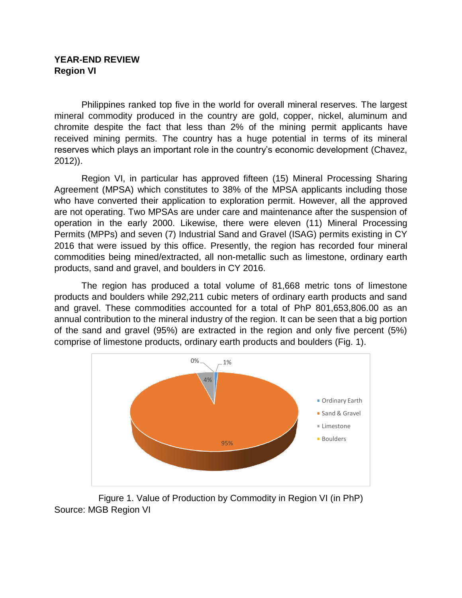## **YEAR-END REVIEW Region VI**

Philippines ranked top five in the world for overall mineral reserves. The largest mineral commodity produced in the country are gold, copper, nickel, aluminum and chromite despite the fact that less than 2% of the mining permit applicants have received mining permits. The country has a huge potential in terms of its mineral reserves which plays an important role in the country's economic development (Chavez, 2012)).

Region VI, in particular has approved fifteen (15) Mineral Processing Sharing Agreement (MPSA) which constitutes to 38% of the MPSA applicants including those who have converted their application to exploration permit. However, all the approved are not operating. Two MPSAs are under care and maintenance after the suspension of operation in the early 2000. Likewise, there were eleven (11) Mineral Processing Permits (MPPs) and seven (7) Industrial Sand and Gravel (ISAG) permits existing in CY 2016 that were issued by this office. Presently, the region has recorded four mineral commodities being mined/extracted, all non-metallic such as limestone, ordinary earth products, sand and gravel, and boulders in CY 2016.

The region has produced a total volume of 81,668 metric tons of limestone products and boulders while 292,211 cubic meters of ordinary earth products and sand and gravel. These commodities accounted for a total of PhP 801,653,806.00 as an annual contribution to the mineral industry of the region. It can be seen that a big portion of the sand and gravel (95%) are extracted in the region and only five percent (5%) comprise of limestone products, ordinary earth products and boulders (Fig. 1).



Figure 1. Value of Production by Commodity in Region VI (in PhP) Source: MGB Region VI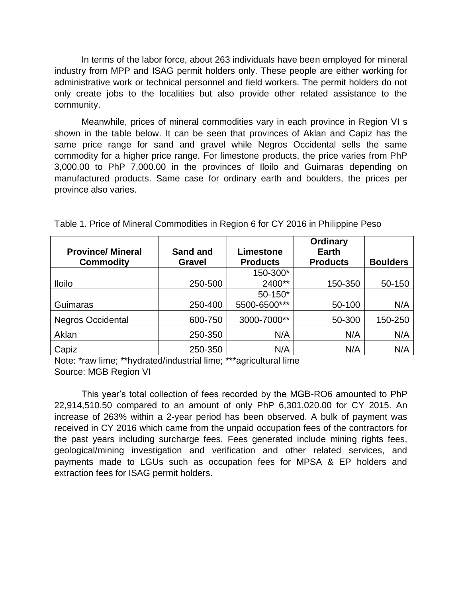In terms of the labor force, about 263 individuals have been employed for mineral industry from MPP and ISAG permit holders only. These people are either working for administrative work or technical personnel and field workers. The permit holders do not only create jobs to the localities but also provide other related assistance to the community.

Meanwhile, prices of mineral commodities vary in each province in Region VI s shown in the table below. It can be seen that provinces of Aklan and Capiz has the same price range for sand and gravel while Negros Occidental sells the same commodity for a higher price range. For limestone products, the price varies from PhP 3,000.00 to PhP 7,000.00 in the provinces of Iloilo and Guimaras depending on manufactured products. Same case for ordinary earth and boulders, the prices per province also varies.

| <b>Province/Mineral</b>  | Sand and      | Limestone       | <b>Ordinary</b><br>Earth |                 |
|--------------------------|---------------|-----------------|--------------------------|-----------------|
| <b>Commodity</b>         | <b>Gravel</b> | <b>Products</b> | <b>Products</b>          | <b>Boulders</b> |
|                          |               | 150-300*        |                          |                 |
| <b>Iloilo</b>            | 250-500       | 2400**          | 150-350                  | 50-150          |
|                          |               | 50-150*         |                          |                 |
| Guimaras                 | 250-400       | 5500-6500***    | 50-100                   | N/A             |
| <b>Negros Occidental</b> | 600-750       | 3000-7000**     | 50-300                   | 150-250         |
| Aklan                    | 250-350       | N/A             | N/A                      | N/A             |
| Capiz                    | 250-350       | N/A             | N/A                      | N/A             |

Table 1. Price of Mineral Commodities in Region 6 for CY 2016 in Philippine Peso

Note: \*raw lime; \*\*hydrated/industrial lime; \*\*\*agricultural lime Source: MGB Region VI

This year's total collection of fees recorded by the MGB-RO6 amounted to PhP 22,914,510.50 compared to an amount of only PhP 6,301,020.00 for CY 2015. An increase of 263% within a 2-year period has been observed. A bulk of payment was received in CY 2016 which came from the unpaid occupation fees of the contractors for the past years including surcharge fees. Fees generated include mining rights fees, geological/mining investigation and verification and other related services, and payments made to LGUs such as occupation fees for MPSA & EP holders and extraction fees for ISAG permit holders.